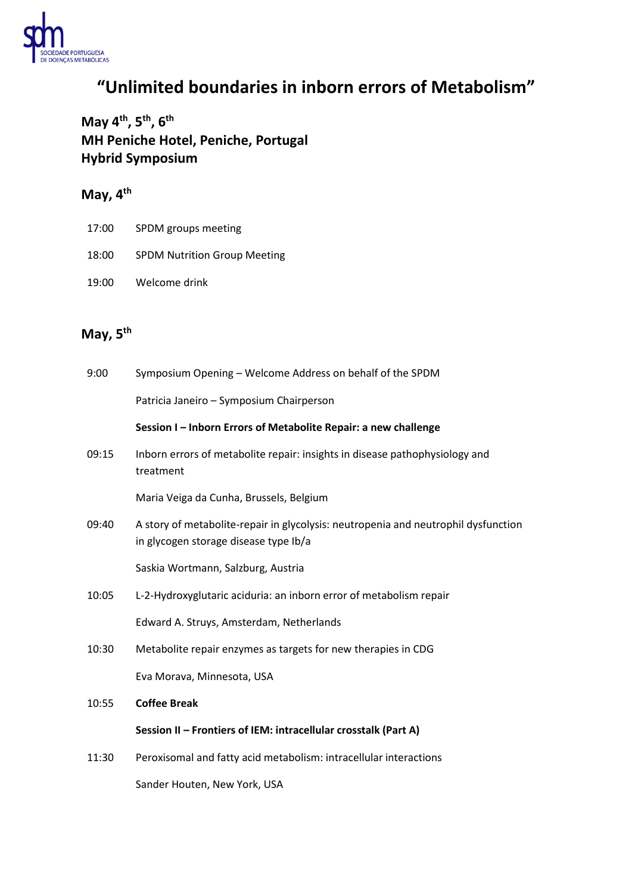

## **"Unlimited boundaries in inborn errors of Metabolism"**

**May 4 th , 5 th , 6 th MH Peniche Hotel, Peniche, Portugal Hybrid Symposium**

## **May, 4 th**

- 17:00 SPDM groups meeting
- 18:00 SPDM Nutrition Group Meeting
- 19:00 Welcome drink

## **May, 5 th**

| 9:00  | Symposium Opening - Welcome Address on behalf of the SPDM                                                                   |
|-------|-----------------------------------------------------------------------------------------------------------------------------|
|       | Patricia Janeiro - Symposium Chairperson                                                                                    |
|       | Session I - Inborn Errors of Metabolite Repair: a new challenge                                                             |
| 09:15 | Inborn errors of metabolite repair: insights in disease pathophysiology and<br>treatment                                    |
|       | Maria Veiga da Cunha, Brussels, Belgium                                                                                     |
| 09:40 | A story of metabolite-repair in glycolysis: neutropenia and neutrophil dysfunction<br>in glycogen storage disease type Ib/a |
|       | Saskia Wortmann, Salzburg, Austria                                                                                          |
| 10:05 | L-2-Hydroxyglutaric aciduria: an inborn error of metabolism repair                                                          |
|       | Edward A. Struys, Amsterdam, Netherlands                                                                                    |
| 10:30 | Metabolite repair enzymes as targets for new therapies in CDG                                                               |
|       | Eva Morava, Minnesota, USA                                                                                                  |
| 10:55 | <b>Coffee Break</b>                                                                                                         |
|       | Session II - Frontiers of IEM: intracellular crosstalk (Part A)                                                             |
| 11:30 | Peroxisomal and fatty acid metabolism: intracellular interactions                                                           |
|       | Sander Houten, New York, USA                                                                                                |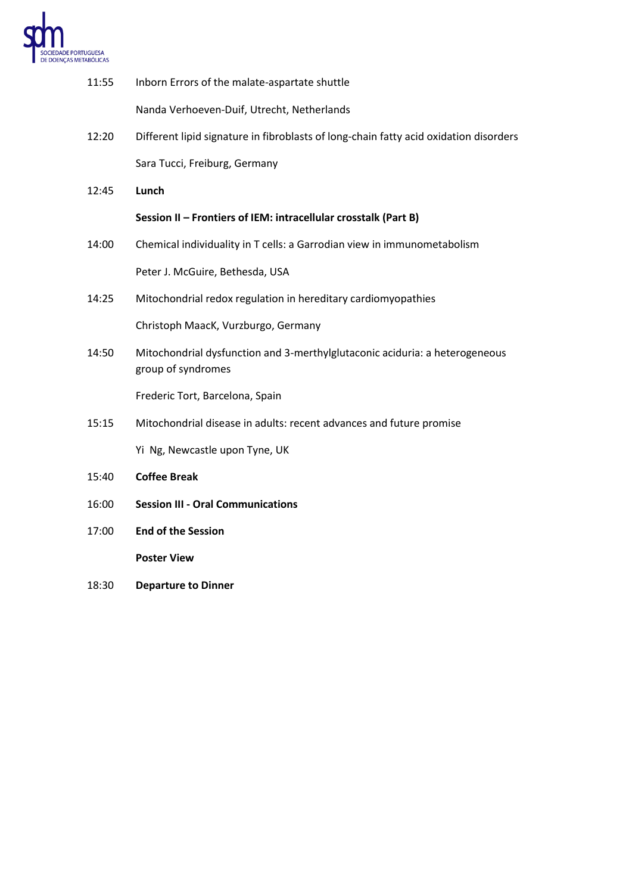

| 11:55 | Inborn Errors of the malate-aspartate shuttle                                                     |
|-------|---------------------------------------------------------------------------------------------------|
|       | Nanda Verhoeven-Duif, Utrecht, Netherlands                                                        |
| 12:20 | Different lipid signature in fibroblasts of long-chain fatty acid oxidation disorders             |
|       | Sara Tucci, Freiburg, Germany                                                                     |
| 12:45 | Lunch                                                                                             |
|       | Session II - Frontiers of IEM: intracellular crosstalk (Part B)                                   |
| 14:00 | Chemical individuality in T cells: a Garrodian view in immunometabolism                           |
|       | Peter J. McGuire, Bethesda, USA                                                                   |
| 14:25 | Mitochondrial redox regulation in hereditary cardiomyopathies                                     |
|       | Christoph MaacK, Vurzburgo, Germany                                                               |
| 14:50 | Mitochondrial dysfunction and 3-merthylglutaconic aciduria: a heterogeneous<br>group of syndromes |
|       | Frederic Tort, Barcelona, Spain                                                                   |
| 15:15 | Mitochondrial disease in adults: recent advances and future promise                               |
|       | Yi Ng, Newcastle upon Tyne, UK                                                                    |
| 15:40 | <b>Coffee Break</b>                                                                               |
| 16:00 | <b>Session III - Oral Communications</b>                                                          |
| 17:00 | <b>End of the Session</b>                                                                         |

**Poster View**

18:30 **Departure to Dinner**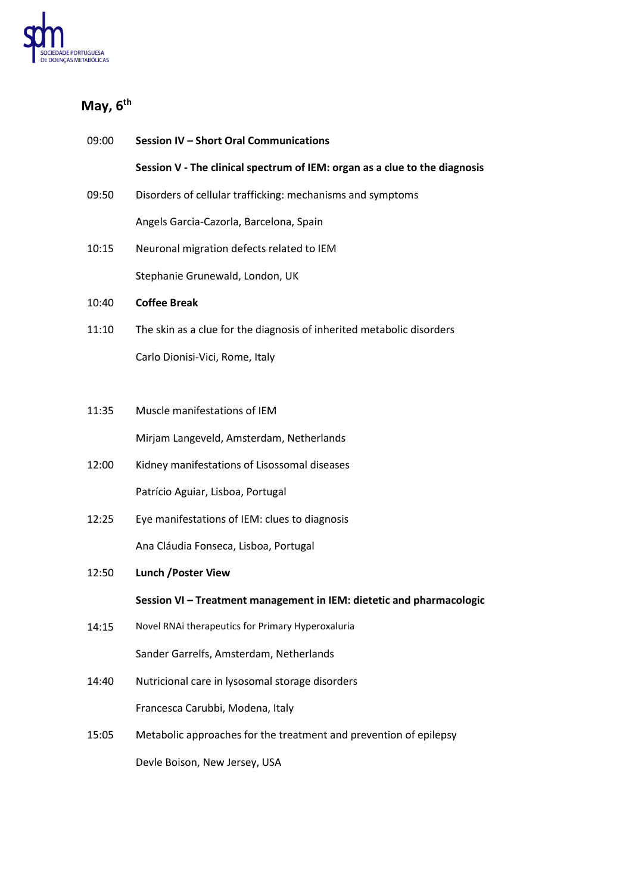

## **May, 6 th**

| 09:00 | Session IV - Short Oral Communications                                     |
|-------|----------------------------------------------------------------------------|
|       | Session V - The clinical spectrum of IEM: organ as a clue to the diagnosis |
| 09:50 | Disorders of cellular trafficking: mechanisms and symptoms                 |
|       | Angels Garcia-Cazorla, Barcelona, Spain                                    |
| 10:15 | Neuronal migration defects related to IEM                                  |
|       | Stephanie Grunewald, London, UK                                            |
| 10:40 | <b>Coffee Break</b>                                                        |
| 11:10 | The skin as a clue for the diagnosis of inherited metabolic disorders      |
|       | Carlo Dionisi-Vici, Rome, Italy                                            |
|       |                                                                            |
| 11:35 | Muscle manifestations of IEM                                               |
|       | Mirjam Langeveld, Amsterdam, Netherlands                                   |
| 12:00 | Kidney manifestations of Lisossomal diseases                               |
|       | Patrício Aguiar, Lisboa, Portugal                                          |
| 12:25 | Eye manifestations of IEM: clues to diagnosis                              |
|       | Ana Cláudia Fonseca, Lisboa, Portugal                                      |
| 12:50 | <b>Lunch / Poster View</b>                                                 |
|       | Session VI - Treatment management in IEM: dietetic and pharmacologic       |
| 14:15 | Novel RNAi therapeutics for Primary Hyperoxaluria                          |
|       | Sander Garrelfs, Amsterdam, Netherlands                                    |
| 14:40 | Nutricional care in lysosomal storage disorders                            |
|       | Francesca Carubbi, Modena, Italy                                           |
| 15:05 | Metabolic approaches for the treatment and prevention of epilepsy          |
|       | Devle Boison, New Jersey, USA                                              |
|       |                                                                            |